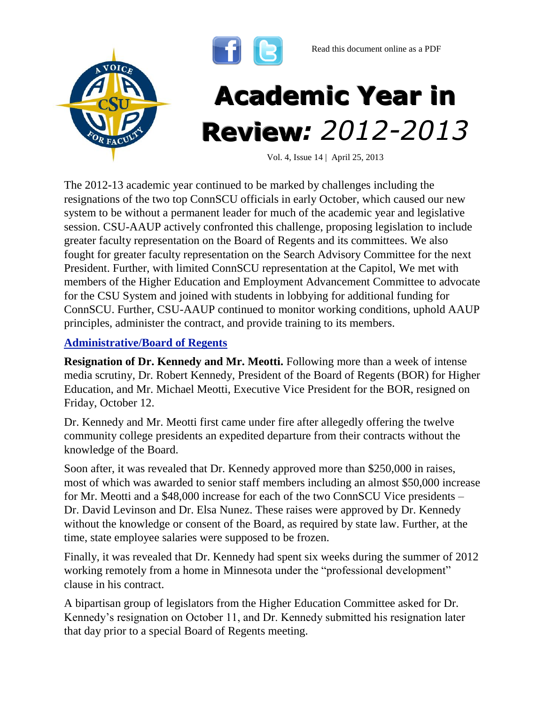



Vol. 4, Issue 14 | April 25, 2013

The 2012-13 academic year continued to be marked by challenges including the resignations of the two top ConnSCU officials in early October, which caused our new system to be without a permanent leader for much of the academic year and legislative session. CSU-AAUP actively confronted this challenge, proposing legislation to include greater faculty representation on the Board of Regents and its committees. We also fought for greater faculty representation on the Search Advisory Committee for the next President. Further, with limited ConnSCU representation at the Capitol, We met with members of the Higher Education and Employment Advancement Committee to advocate for the CSU System and joined with students in lobbying for additional funding for ConnSCU. Further, CSU-AAUP continued to monitor working conditions, uphold AAUP principles, administer the contract, and provide training to its members.

#### **Administrative/Board of Regents**

**Resignation of Dr. Kennedy and Mr. Meotti.** Following more than a week of intense media scrutiny, Dr. Robert Kennedy, President of the Board of Regents (BOR) for Higher Education, and Mr. Michael Meotti, Executive Vice President for the BOR, resigned on Friday, October 12.

Dr. Kennedy and Mr. Meotti first came under fire after allegedly offering the twelve community college presidents an expedited departure from their contracts without the knowledge of the Board.

Soon after, it was revealed that Dr. Kennedy approved more than \$250,000 in raises, most of which was awarded to senior staff members including an almost \$50,000 increase for Mr. Meotti and a \$48,000 increase for each of the two ConnSCU Vice presidents – Dr. David Levinson and Dr. Elsa Nunez. These raises were approved by Dr. Kennedy without the knowledge or consent of the Board, as required by state law. Further, at the time, state employee salaries were supposed to be frozen.

Finally, it was revealed that Dr. Kennedy had spent six weeks during the summer of 2012 working remotely from a home in Minnesota under the "professional development" clause in his contract.

A bipartisan group of legislators from the Higher Education Committee asked for Dr. Kennedy's resignation on October 11, and Dr. Kennedy submitted his resignation later that day prior to a special Board of Regents meeting.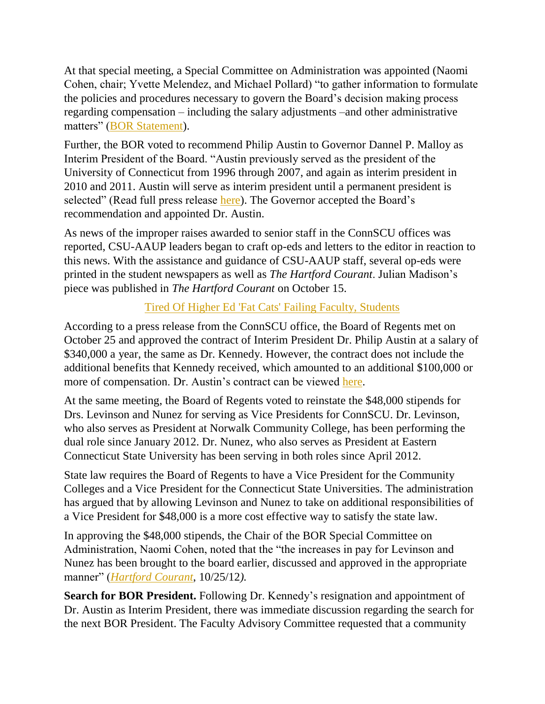At that special meeting, a Special Committee on Administration was appointed (Naomi Cohen, chair; Yvette Melendez, and Michael Pollard) "to gather information to formulate the policies and procedures necessary to govern the Board's decision making process regarding compensation – including the salary adjustments –and other administrative matters" [\(BOR Statement\)](http://www.ct.edu/newsroom/president_suspends_all_salary_adjustments_chairman_forms_special_committee).

Further, the BOR voted to recommend Philip Austin to Governor Dannel P. Malloy as Interim President of the Board. "Austin previously served as the president of the University of Connecticut from 1996 through 2007, and again as interim president in 2010 and 2011. Austin will serve as interim president until a permanent president is selected" (Read full press release [here\)](http://www.ct.edu/newsroom/board_of_regents_recommends_philip_e._austin_to_gov._malloy_as_interim_pres). The Governor accepted the Board's recommendation and appointed Dr. Austin.

As news of the improper raises awarded to senior staff in the ConnSCU offices was reported, CSU-AAUP leaders began to craft op-eds and letters to the editor in reaction to this news. With the assistance and guidance of CSU-AAUP staff, several op-eds were printed in the student newspapers as well as *The Hartford Courant*. Julian Madison's piece was published in *The Hartford Courant* on October 15.

# [Tired Of Higher Ed 'Fat Cats' Failing Faculty, Students](http://articles.courant.com/2012-10-15/news/hc-op-madison-connecticut-university-regents-reap--20121015_1_college-boards-higher-education-college-faculty)

According to a press release from the ConnSCU office, the Board of Regents met on October 25 and approved the contract of Interim President Dr. Philip Austin at a salary of \$340,000 a year, the same as Dr. Kennedy. However, the contract does not include the additional benefits that Kennedy received, which amounted to an additional \$100,000 or more of compensation. Dr. Austin's contract can be viewed [here.](http://www.ctregents.org/files/pdfs/BOR-Austin-Agreement.pdf)

At the same meeting, the Board of Regents voted to reinstate the \$48,000 stipends for Drs. Levinson and Nunez for serving as Vice Presidents for ConnSCU. Dr. Levinson, who also serves as President at Norwalk Community College, has been performing the dual role since January 2012. Dr. Nunez, who also serves as President at Eastern Connecticut State University has been serving in both roles since April 2012.

State law requires the Board of Regents to have a Vice President for the Community Colleges and a Vice President for the Connecticut State Universities. The administration has argued that by allowing Levinson and Nunez to take on additional responsibilities of a Vice President for \$48,000 is a more cost effective way to satisfy the state law.

In approving the \$48,000 stipends, the Chair of the BOR Special Committee on Administration, Naomi Cohen, noted that the "the increases in pay for Levinson and Nunez has been brought to the board earlier, discussed and approved in the appropriate manner" (*[Hartford Courant](http://www.courant.com/news/education/hc-board-of-regents-meet-20121025,0,3268832.story)*, 10/25/12*).* 

**Search for BOR President.** Following Dr. Kennedy's resignation and appointment of Dr. Austin as Interim President, there was immediate discussion regarding the search for the next BOR President. The Faculty Advisory Committee requested that a community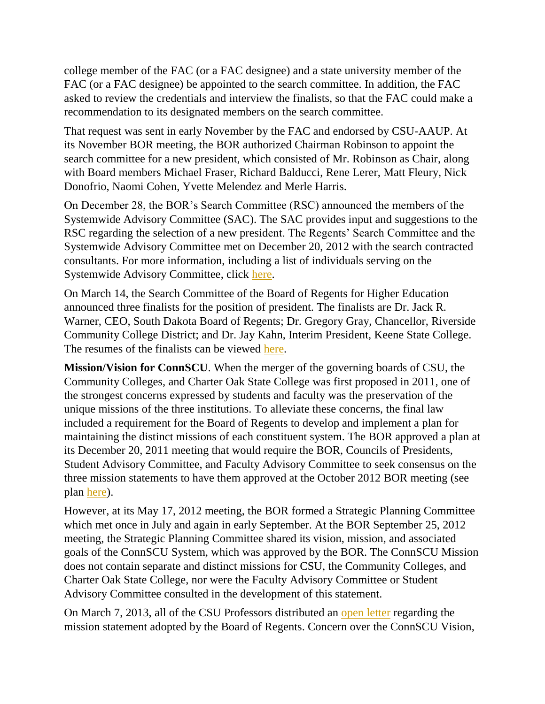college member of the FAC (or a FAC designee) and a state university member of the FAC (or a FAC designee) be appointed to the search committee. In addition, the FAC asked to review the credentials and interview the finalists, so that the FAC could make a recommendation to its designated members on the search committee.

That request was sent in early November by the FAC and endorsed by CSU-AAUP. At its November BOR meeting, the BOR authorized Chairman Robinson to appoint the search committee for a new president, which consisted of Mr. Robinson as Chair, along with Board members [Michael Fraser,](http://www.ctpost.com/?controllerName=search&action=search&channel=local&search=1&inlineLink=1&query=%22Michael+Fraser%22) [Richard Balducci,](http://www.ctpost.com/?controllerName=search&action=search&channel=local&search=1&inlineLink=1&query=%22Richard+Balducci%22) [Rene Lerer,](http://www.ctpost.com/?controllerName=search&action=search&channel=local&search=1&inlineLink=1&query=%22Rene+Lerer%22) [Matt Fleury,](http://www.ctpost.com/?controllerName=search&action=search&channel=local&search=1&inlineLink=1&query=%22Matt+Fleury%22) [Nick](http://www.ctpost.com/?controllerName=search&action=search&channel=local&search=1&inlineLink=1&query=%22Nick+Donofrio%22)  [Donofrio,](http://www.ctpost.com/?controllerName=search&action=search&channel=local&search=1&inlineLink=1&query=%22Nick+Donofrio%22) [Naomi Cohen,](http://www.ctpost.com/?controllerName=search&action=search&channel=local&search=1&inlineLink=1&query=%22Naomi+Cohen%22) [Yvette Melendez](http://www.ctpost.com/?controllerName=search&action=search&channel=local&search=1&inlineLink=1&query=%22Yvette+Melendez%22) and [Merle Harris.](http://www.ctpost.com/?controllerName=search&action=search&channel=local&search=1&inlineLink=1&query=%22Merle+Harris%22)

On December 28, the BOR's Search Committee (RSC) announced the members of the Systemwide Advisory Committee (SAC). The SAC provides input and suggestions to the RSC regarding the selection of a new president. The Regents' Search Committee and the Systemwide Advisory Committee met on December 20, 2012 with the search contracted consultants. For more information, including a list of individuals serving on the Systemwide Advisory Committee, click [here.](http://www.ct.edu/newsroom/presidential_search_committee_announces_advisory_search_committee_members_t)

On March 14, the Search Committee of the Board of Regents for Higher Education announced three finalists for the position of president. The finalists are Dr. Jack R. Warner, CEO, South Dakota Board of Regents; Dr. Gregory Gray, Chancellor, Riverside Community College District; and Dr. Jay Kahn, Interim President, Keene State College. The resumes of the finalists can be viewed [here.](http://www.ct.edu/regents/president-search#finalists)

**Mission/Vision for ConnSCU**. When the merger of the governing boards of CSU, the Community Colleges, and Charter Oak State College was first proposed in 2011, one of the strongest concerns expressed by students and faculty was the preservation of the unique missions of the three institutions. To alleviate these concerns, the final law included a requirement for the Board of Regents to develop and implement a plan for maintaining the distinct missions of each constituent system. The BOR approved a plan at its December 20, 2011 meeting that would require the BOR, Councils of Presidents, Student Advisory Committee, and Faculty Advisory Committee to seek consensus on the three mission statements to have them approved at the October 2012 BOR meeting (see plan [here\)](http://www.ct.edu/images/uploads/BORHE_Agenda_Packet_122011.pdf).

However, at its May 17, 2012 meeting, the BOR formed a Strategic Planning Committee which met once in July and again in early September. At the BOR September 25, 2012 meeting, the Strategic Planning Committee shared its vision, mission, and associated goals of the ConnSCU System, which was approved by the BOR. The ConnSCU Mission does not contain separate and distinct missions for CSU, the Community Colleges, and Charter Oak State College, nor were the Faculty Advisory Committee or Student Advisory Committee consulted in the development of this statement.

On March 7, 2013, all of the CSU Professors distributed an [open letter](http://ctmirror.org/sites/default/files/documents/March%207.pdf) regarding the mission statement adopted by the Board of Regents. Concern over the ConnSCU Vision,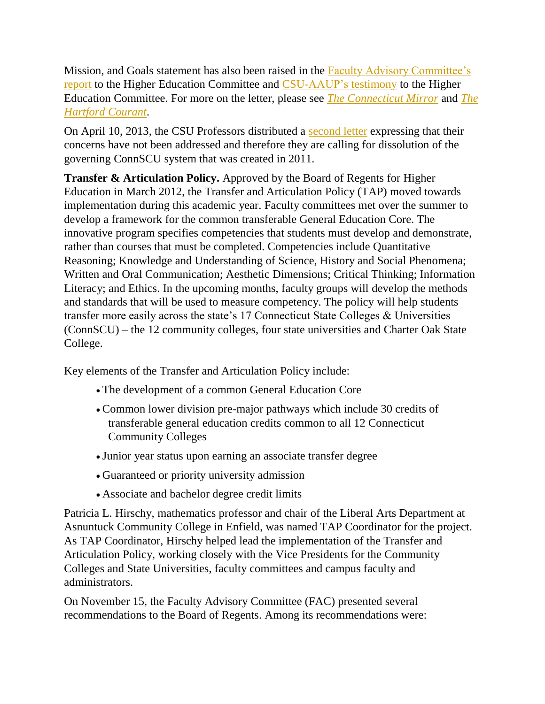Mission, and Goals statement has also been raised in the [Faculty Advisory Committee's](http://www.csuaaup.org/wp-content/uploads/2013/03/FACTestimonyHEComm.docx)  [report](http://www.csuaaup.org/wp-content/uploads/2013/03/FACTestimonyHEComm.docx) to the Higher Education Committee and [CSU-AAUP's](http://www.cga.ct.gov/2013/HEDdata/Tmy/2013SB-00844-R000228-Vijay%20Nair,%20CCSU-AAUP%20President-TMY.PDF) [testimony](http://www.cga.ct.gov/2013/HEDdata/Tmy/2013SB-00844-R000228-Vijay%20Nair,%20CCSU-AAUP%20President-TMY.PDF) to the Higher Education Committee. For more on the letter, please see *[The Connecticut Mirror](http://www.ctmirror.org/story/19375/top-faculty-state-colleges-dangerous-signs-we-are-being-downgraded)* and *[The](http://www.courant.com/news/education/hc-state-universities-rally-0311-20130308,0,5435921.story)  [Hartford Courant](http://www.courant.com/news/education/hc-state-universities-rally-0311-20130308,0,5435921.story)*.

On April 10, 2013, the CSU Professors distributed a [second letter](http://www.ctmirror.org/sites/default/files/documents/FacultyCCSU.pdf) expressing that their concerns have not been addressed and therefore they are calling for dissolution of the governing ConnSCU system that was created in 2011.

**Transfer & Articulation Policy.** Approved by the Board of Regents for Higher Education in March 2012, the Transfer and Articulation Policy (TAP) moved towards implementation during this academic year. Faculty committees met over the summer to develop a framework for the common transferable General Education Core. The innovative program specifies competencies that students must develop and demonstrate, rather than courses that must be completed. Competencies include Quantitative Reasoning; Knowledge and Understanding of Science, History and Social Phenomena; Written and Oral Communication; Aesthetic Dimensions; Critical Thinking; Information Literacy; and Ethics. In the upcoming months, faculty groups will develop the methods and standards that will be used to measure competency. The policy will help students transfer more easily across the state's 17 Connecticut State Colleges & Universities (ConnSCU) – the 12 community colleges, four state universities and Charter Oak State College.

Key elements of the Transfer and Articulation Policy include:

- The development of a common General Education Core
- Common lower division pre-major pathways which include 30 credits of transferable general education credits common to all 12 Connecticut Community Colleges
- Junior year status upon earning an associate transfer degree
- Guaranteed or priority university admission
- Associate and bachelor degree credit limits

Patricia L. Hirschy, mathematics professor and chair of the Liberal Arts Department at Asnuntuck Community College in Enfield, was named TAP Coordinator for the project. As TAP Coordinator, Hirschy helped lead the implementation of the Transfer and Articulation Policy, working closely with the Vice Presidents for the Community Colleges and State Universities, faculty committees and campus faculty and administrators.

On November 15, the Faculty Advisory Committee (FAC) presented several recommendations to the Board of Regents. Among its recommendations were: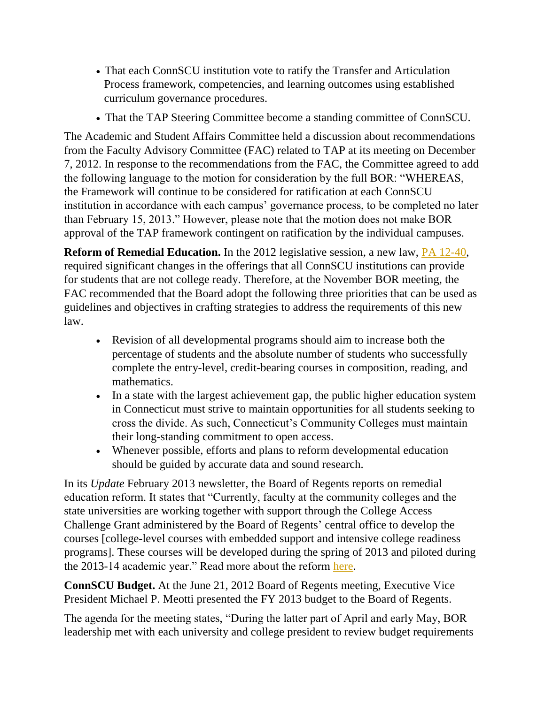- That each ConnSCU institution vote to ratify the Transfer and Articulation Process framework, competencies, and learning outcomes using established curriculum governance procedures.
- That the TAP Steering Committee become a standing committee of ConnSCU.

The Academic and Student Affairs Committee held a discussion about recommendations from the Faculty Advisory Committee (FAC) related to TAP at its meeting on December 7, 2012. In response to the recommendations from the FAC, the Committee agreed to add the following language to the motion for consideration by the full BOR: "WHEREAS, the Framework will continue to be considered for ratification at each ConnSCU institution in accordance with each campus' governance process, to be completed no later than February 15, 2013." However, please note that the motion does not make BOR approval of the TAP framework contingent on ratification by the individual campuses.

**Reform of Remedial Education.** In the 2012 legislative session, a new law, **PA 12-40**, required significant changes in the offerings that all ConnSCU institutions can provide for students that are not college ready. Therefore, at the November BOR meeting, the FAC recommended that the Board adopt the following three priorities that can be used as guidelines and objectives in crafting strategies to address the requirements of this new law.

- Revision of all developmental programs should aim to increase both the percentage of students and the absolute number of students who successfully complete the entry-level, credit-bearing courses in composition, reading, and mathematics.
- In a state with the largest achievement gap, the public higher education system in Connecticut must strive to maintain opportunities for all students seeking to cross the divide. As such, Connecticut's Community Colleges must maintain their long-standing commitment to open access.
- Whenever possible, efforts and plans to reform developmental education should be guided by accurate data and sound research.

In its *Update* February 2013 newsletter, the Board of Regents reports on remedial education reform. It states that "Currently, faculty at the community colleges and the state universities are working together with support through the College Access Challenge Grant administered by the Board of Regents' central office to develop the courses [college-level courses with embedded support and intensive college readiness programs]. These courses will be developed during the spring of 2013 and piloted during the 2013-14 academic year." Read more about the reform [here.](http://www.ct.edu/files/pdfs/12-40-overview.pdf)

**ConnSCU Budget.** At the June 21, 2012 Board of Regents meeting, Executive Vice President Michael P. Meotti presented the FY 2013 budget to the Board of Regents.

The agenda for the meeting states, "During the latter part of April and early May, BOR leadership met with each university and college president to review budget requirements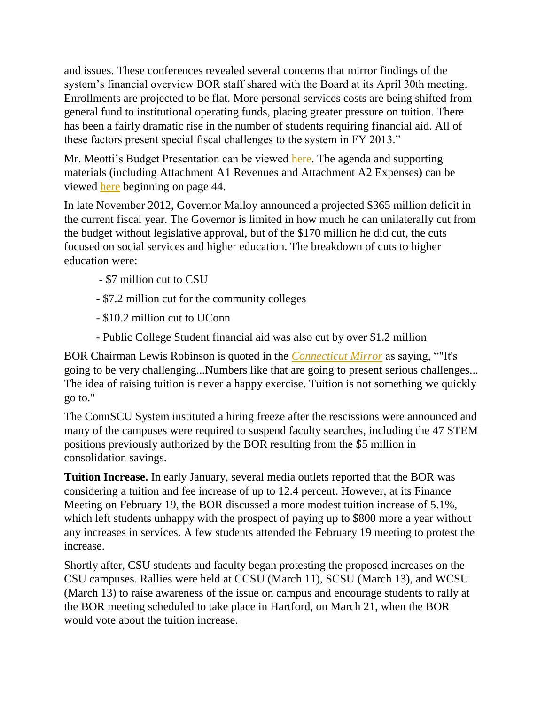and issues. These conferences revealed several concerns that mirror findings of the system's financial overview BOR staff shared with the Board at its April 30th meeting. Enrollments are projected to be flat. More personal services costs are being shifted from general fund to institutional operating funds, placing greater pressure on tuition. There has been a fairly dramatic rise in the number of students requiring financial aid. All of these factors present special fiscal challenges to the system in FY 2013."

Mr. Meotti's Budget Presentation can be viewed [here.](http://www.ctregents.org/files/pdfs/presentation-fy2013-budget.pdf) The agenda and supporting materials (including Attachment A1 Revenues and Attachment A2 Expenses) can be viewed [here](http://www.ctregents.org/images/uploads/BOR_Agenda_Packet_062112.pdf) beginning on page 44.

In late November 2012, Governor Malloy announced a projected \$365 million deficit in the current fiscal year. The Governor is limited in how much he can unilaterally cut from the budget without legislative approval, but of the \$170 million he did cut, the cuts focused on social services and higher education. The breakdown of cuts to higher education were:

- \$7 million cut to CSU
- \$7.2 million cut for the community colleges
- \$10.2 million cut to UConn
- Public College Student financial aid was also cut by over \$1.2 million

BOR Chairman Lewis Robinson is quoted in the *[Connecticut Mirror](http://www.ctmirror.org/story/18305/malloy-hits-social-services-higher-education-he-slashes-deficit-one-third)* as saying, ""It's going to be very challenging...Numbers like that are going to present serious challenges... The idea of raising tuition is never a happy exercise. Tuition is not something we quickly go to."

The ConnSCU System instituted a hiring freeze after the rescissions were announced and many of the campuses were required to suspend faculty searches, including the 47 STEM positions previously authorized by the BOR resulting from the \$5 million in consolidation savings.

**Tuition Increase.** In early January, several media outlets reported that the BOR was considering a tuition and fee increase of up to 12.4 percent. However, at its Finance Meeting on February 19, the BOR discussed a more modest tuition increase of 5.1%, which left students unhappy with the prospect of paying up to \$800 more a year without any increases in services. A few students attended the February 19 meeting to protest the increase.

Shortly after, CSU students and faculty began protesting the proposed increases on the CSU campuses. Rallies were held at CCSU (March 11), SCSU (March 13), and WCSU (March 13) to raise awareness of the issue on campus and encourage students to rally at the BOR meeting scheduled to take place in Hartford, on March 21, when the BOR would vote about the tuition increase.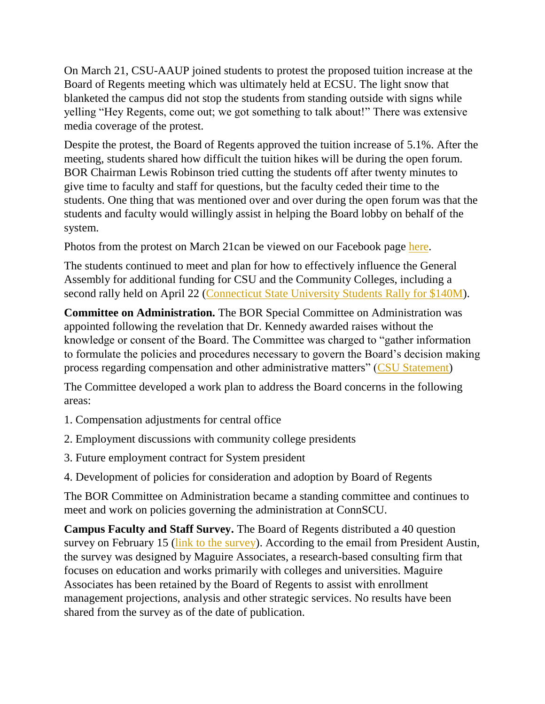On March 21, CSU-AAUP joined students to protest the proposed tuition increase at the Board of Regents meeting which was ultimately held at ECSU. The light snow that blanketed the campus did not stop the students from standing outside with signs while yelling "Hey Regents, come out; we got something to talk about!" There was extensive media coverage of the protest.

Despite the protest, the Board of Regents approved the tuition increase of 5.1%. After the meeting, students shared how difficult the tuition hikes will be during the open forum. BOR Chairman Lewis Robinson tried cutting the students off after twenty minutes to give time to faculty and staff for questions, but the faculty ceded their time to the students. One thing that was mentioned over and over during the open forum was that the students and faculty would willingly assist in helping the Board lobby on behalf of the system.

Photos from the protest on March 21can be viewed on our Facebook page [here.](https://www.facebook.com/media/set/?set=a.545716162135362.1073741825.112907808749535&type=1)

The students continued to meet and plan for how to effectively influence the General Assembly for additional funding for CSU and the Community Colleges, including a second rally held on April 22 [\(Connecticut State University Students Rally for \\$140M\)](http://www.ctnewsjunkie.com/ctnj.php/archives/entry/connecticut_state_university_students_rally_for_140m/#.UXaB-43FeUs.twitter).

**Committee on Administration.** The BOR Special Committee on Administration was appointed following the revelation that Dr. Kennedy awarded raises without the knowledge or consent of the Board. The Committee was charged to "gather information to formulate the policies and procedures necessary to govern the Board's decision making process regarding compensation and other administrative matters" [\(CSU Statement\)](http://www.ctregents.org/newsroom/board_of_regents_recommends_philip_e._austin_to_gov._malloy_as_interim_pres)

The Committee developed a work plan to address the Board concerns in the following areas:

1. Compensation adjustments for central office

- 2. Employment discussions with community college presidents
- 3. Future employment contract for System president
- 4. Development of policies for consideration and adoption by Board of Regents

The BOR Committee on Administration became a standing committee and continues to meet and work on policies governing the administration at ConnSCU.

**Campus Faculty and Staff Survey.** The Board of Regents distributed a 40 question survey on February 15 [\(link to the survey\)](http://www.surveyma.com/f/486398/17f8/). According to the email from President Austin, the survey was designed by Maguire Associates, a research-based consulting firm that focuses on education and works primarily with colleges and universities. Maguire Associates has been retained by the Board of Regents to assist with enrollment management projections, analysis and other strategic services. No results have been shared from the survey as of the date of publication.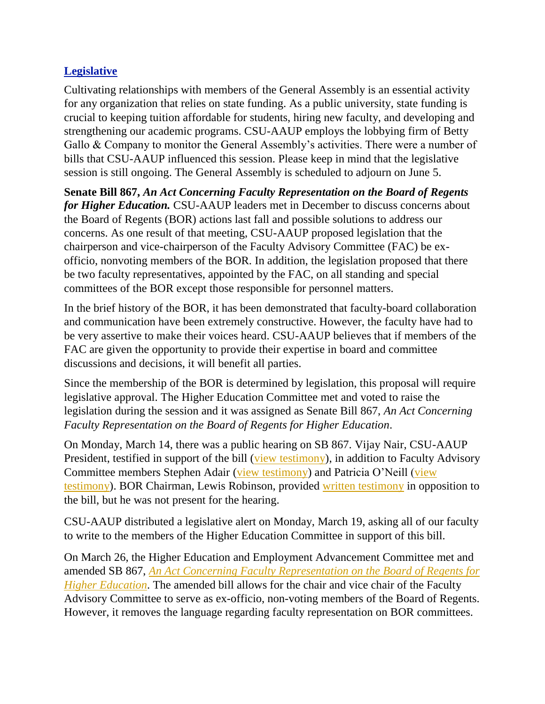### **Legislative**

Cultivating relationships with members of the General Assembly is an essential activity for any organization that relies on state funding. As a public university, state funding is crucial to keeping tuition affordable for students, hiring new faculty, and developing and strengthening our academic programs. CSU-AAUP employs the lobbying firm of Betty Gallo & Company to monitor the General Assembly's activities. There were a number of bills that CSU-AAUP influenced this session. Please keep in mind that the legislative session is still ongoing. The General Assembly is scheduled to adjourn on June 5.

**Senate Bill 867,** *An Act Concerning Faculty Representation on the Board of Regents for Higher Education.* CSU-AAUP leaders met in December to discuss concerns about the Board of Regents (BOR) actions last fall and possible solutions to address our concerns. As one result of that meeting, CSU-AAUP proposed legislation that the chairperson and vice-chairperson of the Faculty Advisory Committee (FAC) be exofficio, nonvoting members of the BOR. In addition, the legislation proposed that there be two faculty representatives, appointed by the FAC, on all standing and special committees of the BOR except those responsible for personnel matters.

In the brief history of the BOR, it has been demonstrated that faculty-board collaboration and communication have been extremely constructive. However, the faculty have had to be very assertive to make their voices heard. CSU-AAUP believes that if members of the FAC are given the opportunity to provide their expertise in board and committee discussions and decisions, it will benefit all parties.

Since the membership of the BOR is determined by legislation, this proposal will require legislative approval. The Higher Education Committee met and voted to raise the legislation during the session and it was assigned as Senate Bill 867, *An Act Concerning Faculty Representation on the Board of Regents for Higher Education*.

On Monday, March 14, there was a public hearing on SB 867. Vijay Nair, CSU-AAUP President, testified in support of the bill [\(view testimony\)](http://www.cga.ct.gov/2013/HEDdata/Tmy/2013SB-00867-R000314-Vijay%20Nair,%20CSU-AAUP%20President-TMY.PDF), in addition to Faculty Advisory Committee members Stephen Adair [\(view testimony\)](http://www.csuaaup.org/wp-content/uploads/2013/03/SB-867-testimony-Adair.pdf) and Patricia O'Neill [\(view](http://www.csuaaup.org/wp-content/uploads/2013/03/SB-867-Testimony-Oneill.pdf)  [testimony\)](http://www.csuaaup.org/wp-content/uploads/2013/03/SB-867-Testimony-Oneill.pdf). BOR Chairman, Lewis Robinson, provided [written testimony](http://www.cga.ct.gov/2013/HEDdata/Tmy/2013SB-00867-R000314-Lewis%20J.%20Robinson,%20Chairman,%20Board%20of%20Regents%20for%20Higher%20Educations-TMY.PDF) in opposition to the bill, but he was not present for the hearing.

CSU-AAUP distributed a legislative alert on Monday, March 19, asking all of our faculty to write to the members of the Higher Education Committee in support of this bill.

On March 26, the Higher Education and Employment Advancement Committee met and amended SB 867, *[An Act Concerning Faculty Representation on the Board of Regents for](http://www.cga.ct.gov/asp/cgabillstatus/cgabillstatus.asp?selBillType=Bill&bill_num=867&which_year=2013&SUBMIT1.x=-643&SUBMIT1.y=0&SUBMIT1=Normal)  [Higher Education](http://www.cga.ct.gov/asp/cgabillstatus/cgabillstatus.asp?selBillType=Bill&bill_num=867&which_year=2013&SUBMIT1.x=-643&SUBMIT1.y=0&SUBMIT1=Normal)*. The amended bill allows for the chair and vice chair of the Faculty Advisory Committee to serve as ex-officio, non-voting members of the Board of Regents. However, it removes the language regarding faculty representation on BOR committees.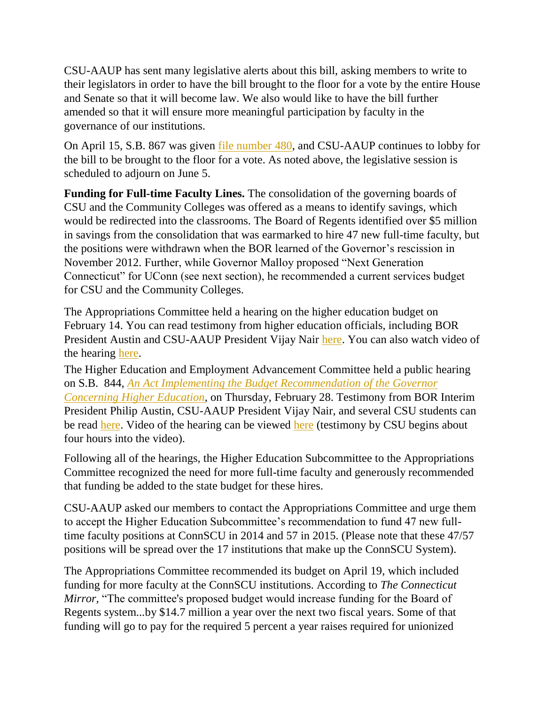CSU-AAUP has sent many legislative alerts about this bill, asking members to write to their legislators in order to have the bill brought to the floor for a vote by the entire House and Senate so that it will become law. We also would like to have the bill further amended so that it will ensure more meaningful participation by faculty in the governance of our institutions.

On April 15, S.B. 867 was given [file number 480,](http://www.cga.ct.gov/asp/cgabillstatus/cgabillstatus.asp?selBillType=Bill&bill_num=867&which_year=2013&SUBMIT1.x=-680&SUBMIT1.y=0&SUBMIT1=Normal) and CSU-AAUP continues to lobby for the bill to be brought to the floor for a vote. As noted above, the legislative session is scheduled to adjourn on June 5.

**Funding for Full-time Faculty Lines.** The consolidation of the governing boards of CSU and the Community Colleges was offered as a means to identify savings, which would be redirected into the classrooms. The Board of Regents identified over \$5 million in savings from the consolidation that was earmarked to hire 47 new full-time faculty, but the positions were withdrawn when the BOR learned of the Governor's rescission in November 2012. Further, while Governor Malloy proposed "Next Generation Connecticut" for UConn (see next section), he recommended a current services budget for CSU and the Community Colleges.

The Appropriations Committee held a hearing on the higher education budget on February 14. You can read testimony from higher education officials, including BOR President Austin and CSU-AAUP President Vijay Nair [here.](http://www.cga.ct.gov/asp/menu/CommDocTmy.asp?comm_code=APP&date=02/14/2013) You can also watch video of the hearing [here.](http://www.ctn.state.ct.us/CTNplayer.asp?odID=8696)

The Higher Education and Employment Advancement Committee held a public hearing on S.B. 844, *[An Act Implementing the Budget Recommendation of the Governor](http://www.cga.ct.gov/2013/TOB/S/2013SB-00844-R00-SB.htm)  [Concerning Higher Education](http://www.cga.ct.gov/2013/TOB/S/2013SB-00844-R00-SB.htm)*, on Thursday, February 28. Testimony from BOR Interim President Philip Austin, CSU-AAUP President Vijay Nair, and several CSU students can be read [here.](http://www.cga.ct.gov/asp/menu/CommDocTmy.asp?comm_code=HED&date=02/28/2013) Video of the hearing can be viewed [here](http://ct-n.com/ondemand.asp?ID=8750) (testimony by CSU begins about four hours into the video).

Following all of the hearings, the Higher Education Subcommittee to the Appropriations Committee recognized the need for more full-time faculty and generously recommended that funding be added to the state budget for these hires.

CSU-AAUP asked our members to contact the Appropriations Committee and urge them to accept the Higher Education Subcommittee's recommendation to fund 47 new fulltime faculty positions at ConnSCU in 2014 and 57 in 2015. (Please note that these 47/57 positions will be spread over the 17 institutions that make up the ConnSCU System).

The Appropriations Committee recommended its budget on April 19, which included funding for more faculty at the ConnSCU institutions. According to *The Connecticut Mirror*, "The committee's proposed budget would increase funding for the Board of Regents system...by \$14.7 million a year over the next two fiscal years. Some of that funding will go to pay for the required 5 percent a year raises required for unionized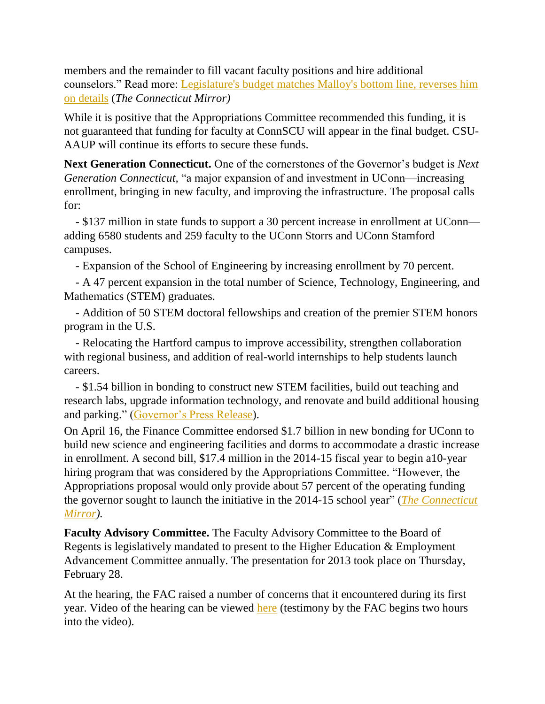members and the remainder to fill vacant faculty positions and hire additional counselors." Read more: [Legislature's budget matches Malloy's bottom line, reverses him](http://www.ctmirror.org/story/19764/committee-budget-slams-hospitals-reverses-health-care-cut-poor-parents-lawmakers-match-m)  [on details](http://www.ctmirror.org/story/19764/committee-budget-slams-hospitals-reverses-health-care-cut-poor-parents-lawmakers-match-m) (*The Connecticut Mirror)*

While it is positive that the Appropriations Committee recommended this funding, it is not guaranteed that funding for faculty at ConnSCU will appear in the final budget. CSU-AAUP will continue its efforts to secure these funds.

**Next Generation Connecticut.** One of the cornerstones of the Governor's budget is *Next Generation Connecticut,* "a major expansion of and investment in UConn—increasing enrollment, bringing in new faculty, and improving the infrastructure. The proposal calls for:

 - \$137 million in state funds to support a 30 percent increase in enrollment at UConn adding 6580 students and 259 faculty to the UConn Storrs and UConn Stamford campuses.

- Expansion of the School of Engineering by increasing enrollment by 70 percent.

 - A 47 percent expansion in the total number of Science, Technology, Engineering, and Mathematics (STEM) graduates.

 *-* Addition of 50 STEM doctoral fellowships and creation of the premier STEM honors program in the U.S.

 - Relocating the Hartford campus to improve accessibility, strengthen collaboration with regional business, and addition of real-world internships to help students launch careers.

 - \$1.54 billion in bonding to construct new STEM facilities, build out teaching and research labs, upgrade information technology, and renovate and build additional housing and parking." [\(Governor's Press Release\)](http://www.governor.ct.gov/malloy/cwp/view.asp?A=4010&Q=518144).

On April 16, the Finance Committee endorsed \$1.7 billion in new bonding for UConn to build new science and engineering facilities and dorms to accommodate a drastic increase in enrollment. A second bill, \$17.4 million in the 2014-15 fiscal year to begin a10-year hiring program that was considered by the Appropriations Committee. "However, the Appropriations proposal would only provide about 57 percent of the operating funding the governor sought to launch the initiative in the 2014-15 school year" (*[The Connecticut](http://www.ctmirror.org/story/19764/committee-budget-slams-hospitals-reverses-health-care-cut-poor-parents-lawmakers-match-m)  [Mirror\)](http://www.ctmirror.org/story/19764/committee-budget-slams-hospitals-reverses-health-care-cut-poor-parents-lawmakers-match-m).* 

**Faculty Advisory Committee.** The Faculty Advisory Committee to the Board of Regents is legislatively mandated to present to the Higher Education & Employment Advancement Committee annually. The presentation for 2013 took place on Thursday, February 28.

At the hearing, the FAC raised a number of concerns that it encountered during its first year. Video of the hearing can be viewed [here](http://ct-n.com/ondemand.asp?ID=8750) (testimony by the FAC begins two hours into the video).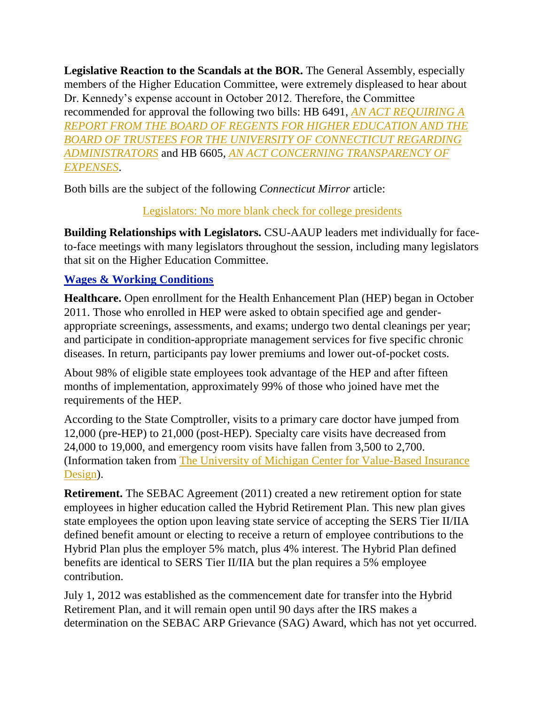**Legislative Reaction to the Scandals at the BOR.** The General Assembly, especially members of the Higher Education Committee, were extremely displeased to hear about Dr. Kennedy's expense account in October 2012. Therefore, the Committee recommended for approval the following two bills: HB 6491, *[AN ACT REQUIRING A](http://www.cga.ct.gov/asp/cgabillstatus/cgabillstatus.asp?selBillType=Bill&bill_num=6491&which_year=2013&SUBMIT1.x=-643&SUBMIT1.y=0&SUBMIT1=Normal)  [REPORT FROM THE BOARD OF REGENTS FOR HIGHER EDUCATION AND THE](http://www.cga.ct.gov/asp/cgabillstatus/cgabillstatus.asp?selBillType=Bill&bill_num=6491&which_year=2013&SUBMIT1.x=-643&SUBMIT1.y=0&SUBMIT1=Normal)  [BOARD OF TRUSTEES FOR THE UNIVERSITY OF CONNECTICUT REGARDING](http://www.cga.ct.gov/asp/cgabillstatus/cgabillstatus.asp?selBillType=Bill&bill_num=6491&which_year=2013&SUBMIT1.x=-643&SUBMIT1.y=0&SUBMIT1=Normal)  [ADMINISTRATORS](http://www.cga.ct.gov/asp/cgabillstatus/cgabillstatus.asp?selBillType=Bill&bill_num=6491&which_year=2013&SUBMIT1.x=-643&SUBMIT1.y=0&SUBMIT1=Normal)* and HB 6605, *[AN ACT CONCERNING TRANSPARENCY OF](http://www.cga.ct.gov/asp/cgabillstatus/cgabillstatus.asp?selBillType=Bill&bill_num=6605&which_year=2013&SUBMIT1.x=-643&SUBMIT1.y=0&SUBMIT1=Normal)  [EXPENSES](http://www.cga.ct.gov/asp/cgabillstatus/cgabillstatus.asp?selBillType=Bill&bill_num=6605&which_year=2013&SUBMIT1.x=-643&SUBMIT1.y=0&SUBMIT1=Normal)*.

Both bills are the subject of the following *Connecticut Mirror* article:

[Legislators: No more blank check for college presidents](http://www.ctmirror.org/story/19548/legislators-no-more-blank-check-college-presidents)

**Building Relationships with Legislators.** CSU-AAUP leaders met individually for faceto-face meetings with many legislators throughout the session, including many legislators that sit on the Higher Education Committee.

## **Wages & Working Conditions**

**Healthcare.** Open enrollment for the Health Enhancement Plan (HEP) began in October 2011. Those who enrolled in HEP were asked to obtain specified age and genderappropriate screenings, assessments, and exams; undergo two dental cleanings per year; and participate in condition-appropriate management services for five specific chronic diseases. In return, participants pay lower premiums and lower out-of-pocket costs.

About 98% of eligible state employees took advantage of the HEP and after fifteen months of implementation, approximately 99% of those who joined have met the requirements of the HEP.

According to the State Comptroller, visits to a primary care doctor have jumped from 12,000 (pre-HEP) to 21,000 (post-HEP). Specialty care visits have decreased from 24,000 to 19,000, and emergency room visits have fallen from 3,500 to 2,700. (Information taken from [The University of Michigan Center for Value-Based Insurance](http://www.sph.umich.edu/vbidcenter/publications/pdfs/V-BID%20brief_CT%20HEP%20final.pdf)  [Design\)](http://www.sph.umich.edu/vbidcenter/publications/pdfs/V-BID%20brief_CT%20HEP%20final.pdf).

**Retirement.** The SEBAC Agreement (2011) created a new retirement option for state employees in higher education called the Hybrid Retirement Plan. This new plan gives state employees the option upon leaving state service of accepting the SERS Tier II/IIA defined benefit amount or electing to receive a return of employee contributions to the Hybrid Plan plus the employer 5% match, plus 4% interest. The Hybrid Plan defined benefits are identical to SERS Tier II/IIA but the plan requires a 5% employee contribution.

July 1, 2012 was established as the commencement date for transfer into the Hybrid Retirement Plan, and it will remain open until 90 days after the IRS makes a determination on the SEBAC ARP Grievance (SAG) Award, which has not yet occurred.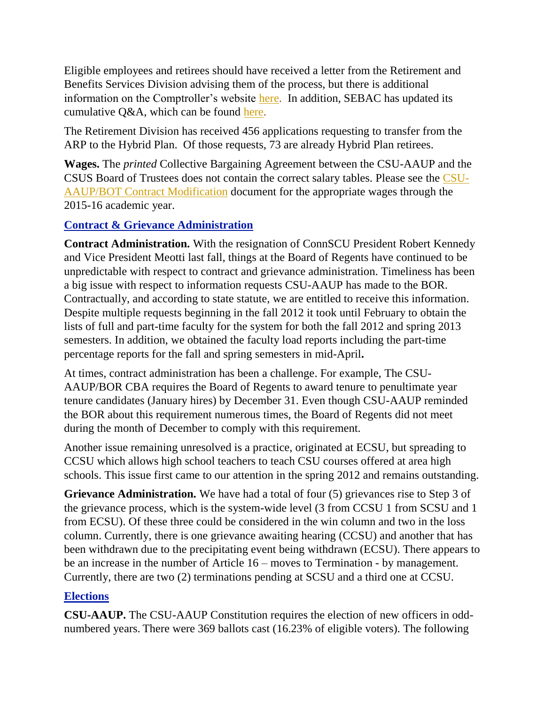Eligible employees and retirees should have received a letter from the Retirement and Benefits Services Division advising them of the process, but there is additional information on the Comptroller's website [here.](http://www.osc.ct.gov/rbsd/arptransfer/index.html) In addition, SEBAC has updated its cumulative  $Q&A$ , which can be found [here.](http://www.csuaaup.org/wp-content/uploads/2012/07/HybridQA070512.pdf)

The Retirement Division has received 456 applications requesting to transfer from the ARP to the Hybrid Plan. Of those requests, 73 are already Hybrid Plan retirees.

**Wages.** The *printed* Collective Bargaining Agreement between the CSU-AAUP and the CSUS Board of Trustees does not contain the correct salary tables. Please see the [CSU-](http://www.csuaaup.org/wp-content/uploads/2011/06/CSUAAUP2011Modification.pdf)[AAUP/BOT Contract Modification](http://www.csuaaup.org/wp-content/uploads/2011/06/CSUAAUP2011Modification.pdf) document for the appropriate wages through the 2015-16 academic year.

## **Contract & Grievance Administration**

**Contract Administration.** With the resignation of ConnSCU President Robert Kennedy and Vice President Meotti last fall, things at the Board of Regents have continued to be unpredictable with respect to contract and grievance administration. Timeliness has been a big issue with respect to information requests CSU-AAUP has made to the BOR. Contractually, and according to state statute, we are entitled to receive this information. Despite multiple requests beginning in the fall 2012 it took until February to obtain the lists of full and part-time faculty for the system for both the fall 2012 and spring 2013 semesters. In addition, we obtained the faculty load reports including the part-time percentage reports for the fall and spring semesters in mid-April**.** 

At times, contract administration has been a challenge. For example, The CSU-AAUP/BOR CBA requires the Board of Regents to award tenure to penultimate year tenure candidates (January hires) by December 31. Even though CSU-AAUP reminded the BOR about this requirement numerous times, the Board of Regents did not meet during the month of December to comply with this requirement.

Another issue remaining unresolved is a practice, originated at ECSU, but spreading to CCSU which allows high school teachers to teach CSU courses offered at area high schools. This issue first came to our attention in the spring 2012 and remains outstanding.

**Grievance Administration.** We have had a total of four (5) grievances rise to Step 3 of the grievance process, which is the system-wide level (3 from CCSU 1 from SCSU and 1 from ECSU). Of these three could be considered in the win column and two in the loss column. Currently, there is one grievance awaiting hearing (CCSU) and another that has been withdrawn due to the precipitating event being withdrawn (ECSU). There appears to be an increase in the number of Article 16 – moves to Termination - by management. Currently, there are two (2) terminations pending at SCSU and a third one at CCSU.

# **Elections**

**CSU-AAUP.** The CSU-AAUP Constitution requires the election of new officers in oddnumbered years. There were 369 ballots cast (16.23% of eligible voters). The following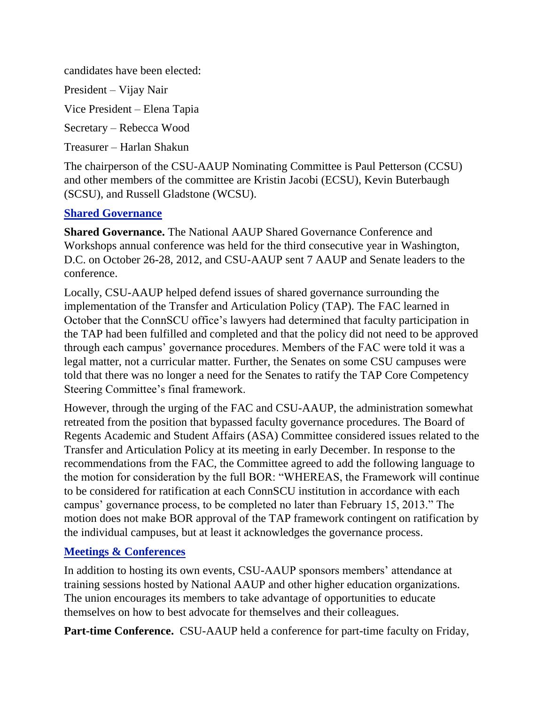candidates have been elected:

President – Vijay Nair

Vice President – Elena Tapia

Secretary – Rebecca Wood

Treasurer – Harlan Shakun

The chairperson of the CSU-AAUP Nominating Committee is Paul Petterson (CCSU) and other members of the committee are Kristin Jacobi (ECSU), Kevin Buterbaugh (SCSU), and Russell Gladstone (WCSU).

#### **Shared Governance**

**Shared Governance.** The National AAUP Shared Governance Conference and Workshops annual conference was held for the third consecutive year in Washington, D.C. on October 26-28, 2012, and CSU-AAUP sent 7 AAUP and Senate leaders to the conference.

Locally, CSU-AAUP helped defend issues of shared governance surrounding the implementation of the Transfer and Articulation Policy (TAP). The FAC learned in October that the ConnSCU office's lawyers had determined that faculty participation in the TAP had been fulfilled and completed and that the policy did not need to be approved through each campus' governance procedures. Members of the FAC were told it was a legal matter, not a curricular matter. Further, the Senates on some CSU campuses were told that there was no longer a need for the Senates to ratify the TAP Core Competency Steering Committee's final framework.

However, through the urging of the FAC and CSU-AAUP, the administration somewhat retreated from the position that bypassed faculty governance procedures. The Board of Regents Academic and Student Affairs (ASA) Committee considered issues related to the Transfer and Articulation Policy at its meeting in early December. In response to the recommendations from the FAC, the Committee agreed to add the following language to the motion for consideration by the full BOR: "WHEREAS, the Framework will continue to be considered for ratification at each ConnSCU institution in accordance with each campus' governance process, to be completed no later than February 15, 2013." The motion does not make BOR approval of the TAP framework contingent on ratification by the individual campuses, but at least it acknowledges the governance process.

#### **Meetings & Conferences**

In addition to hosting its own events, CSU-AAUP sponsors members' attendance at training sessions hosted by National AAUP and other higher education organizations. The union encourages its members to take advantage of opportunities to educate themselves on how to best advocate for themselves and their colleagues.

**Part-time Conference.** CSU-AAUP held a conference for part-time faculty on Friday,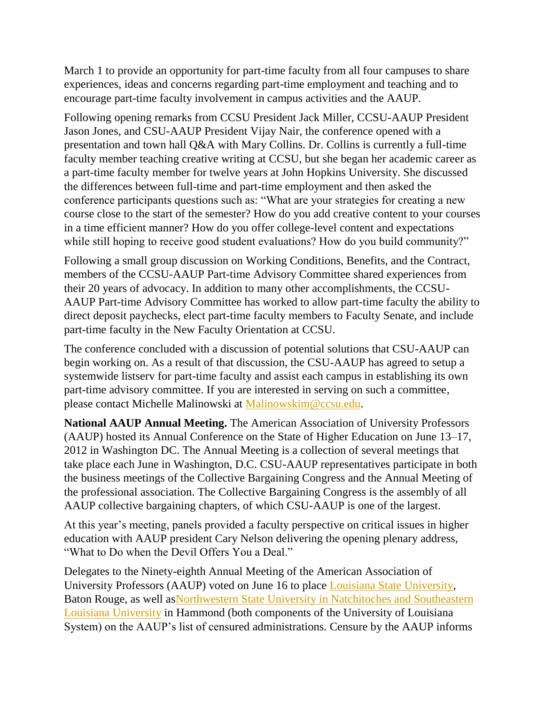March 1 to provide an opportunity for part-time faculty from all four campuses to share experiences, ideas and concerns regarding part-time employment and teaching and to encourage part-time faculty involvement in campus activities and the AAUP.

Following opening remarks from CCSU President Jack Miller, CCSU-AAUP President Jason Jones, and CSU-AAUP President Vijay Nair, the conference opened with a presentation and town hall Q&A with Mary Collins. Dr. Collins is currently a full-time faculty member teaching creative writing at CCSU, but she began her academic career as a part-time faculty member for twelve years at John Hopkins University. She discussed the differences between full-time and part-time employment and then asked the conference participants questions such as: "What are your strategies for creating a new course close to the start of the semester? How do you add creative content to your courses in a time efficient manner? How do you offer college-level content and expectations while still hoping to receive good student evaluations? How do you build community?"

Following a small group discussion on Working Conditions, Benefits, and the Contract, members of the CCSU-AAUP Part-time Advisory Committee shared experiences from their 20 years of advocacy. In addition to many other accomplishments, the CCSU-AAUP Part-time Advisory Committee has worked to allow part-time faculty the ability to direct deposit paychecks, elect part-time faculty members to Faculty Senate, and include part-time faculty in the New Faculty Orientation at CCSU.

The conference concluded with a discussion of potential solutions that CSU-AAUP can begin working on. As a result of that discussion, the CSU-AAUP has agreed to setup a systemwide listserv for part-time faculty and assist each campus in establishing its own part-time advisory committee. If you are interested in serving on such a committee, please contact Michelle Malinowski at [Malinowskim@ccsu.edu.](mailto:malinowskim@ccsu.edu?subject=Part-time%20Advisory%20Committee)

**National AAUP Annual Meeting.** The American Association of University Professors (AAUP) hosted its Annual Conference on the State of Higher Education on June 13–17, 2012 in Washington DC. The Annual Meeting is a collection of several meetings that take place each June in Washington, D.C. CSU-AAUP representatives participate in both the business meetings of the Collective Bargaining Congress and the Annual Meeting of the professional association. The Collective Bargaining Congress is the assembly of all AAUP collective bargaining chapters, of which CSU-AAUP is one of the largest.

At this year's meeting, panels provided a faculty perspective on critical issues in higher education with AAUP president Cary Nelson delivering the opening plenary address, "What to Do when the Devil Offers You a Deal."

Delegates to the Ninety-eighth Annual Meeting of the American Association of University Professors (AAUP) voted on June 16 to place [Louisiana State University,](http://www.aaup.org/report/academic-freedom-and-tenure-louisiana-state-university-baton-rouge) Baton Rouge, as well a[sNorthwestern State University in Natchitoches and Southeastern](http://www.aaup.org/NR/rdonlyres/87B69D3C-788E-437A-A613-9B7D5A694DFE/0/ULSystemReportApril2012.pdf)  [Louisiana University](http://www.aaup.org/NR/rdonlyres/87B69D3C-788E-437A-A613-9B7D5A694DFE/0/ULSystemReportApril2012.pdf) in Hammond (both components of the University of Louisiana System) on the AAUP's list of censured administrations. Censure by the AAUP informs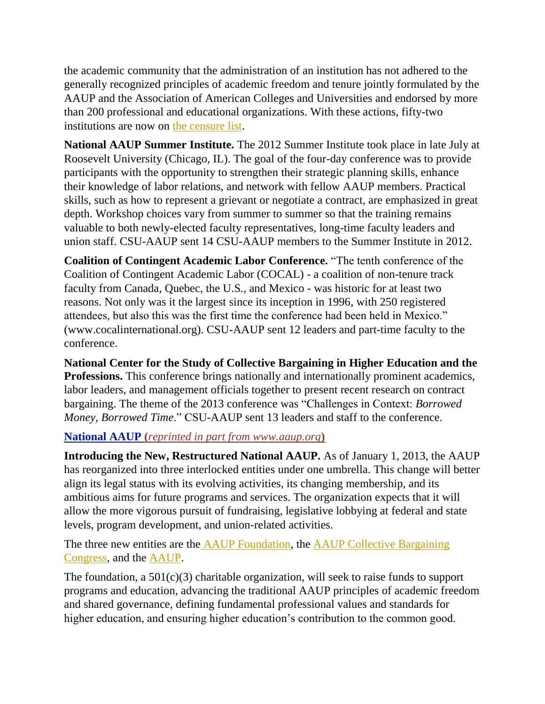the academic community that the administration of an institution has not adhered to the generally recognized principles of academic freedom and tenure jointly formulated by the AAUP and the Association of American Colleges and Universities and endorsed by more than 200 professional and educational organizations. With these actions, fifty-two institutions are now on [the censure list.](http://www.aaup.org/our-programs/academic-freedom/censure-list)

**National AAUP Summer Institute.** The 2012 Summer Institute took place in late July at Roosevelt University (Chicago, IL). The goal of the four-day conference was to provide participants with the opportunity to strengthen their strategic planning skills, enhance their knowledge of labor relations, and network with fellow AAUP members. Practical skills, such as how to represent a grievant or negotiate a contract, are emphasized in great depth. Workshop choices vary from summer to summer so that the training remains valuable to both newly-elected faculty representatives, long-time faculty leaders and union staff. CSU-AAUP sent 14 CSU-AAUP members to the Summer Institute in 2012.

**Coalition of Contingent Academic Labor Conference.** "The tenth conference of the Coalition of Contingent Academic Labor (COCAL) - a coalition of non-tenure track faculty from Canada, Quebec, the U.S., and Mexico - was historic for at least two reasons. Not only was it the largest since its inception in 1996, with 250 registered attendees, but also this was the first time the conference had been held in Mexico." (www.cocalinternational.org). CSU-AAUP sent 12 leaders and part-time faculty to the conference.

**National Center for the Study of Collective Bargaining in Higher Education and the Professions.** This conference brings nationally and internationally prominent academics, labor leaders, and management officials together to present recent research on contract bargaining. The theme of the 2013 conference was "Challenges in Context: *Borrowed Money, Borrowed Time*." CSU-AAUP sent 13 leaders and staff to the conference.

#### **National AAUP (***reprinted in part from www.aaup.org***)**

**Introducing the New, Restructured National AAUP.** As of January 1, 2013, the AAUP has reorganized into three interlocked entities under one umbrella. This change will better align its legal status with its evolving activities, its changing membership, and its ambitious aims for future programs and services. The organization expects that it will allow the more vigorous pursuit of fundraising, legislative lobbying at federal and state levels, program development, and union-related activities.

The three new entities are the [AAUP Foundation,](https://online.aaup.org/aaupssa/ecmssamsganalytics.click_through?p_mail_id=E15606A6949180B1C4396) the AAUP Collective Bargaining [Congress,](https://online.aaup.org/aaupssa/ecmssamsganalytics.click_through?p_mail_id=E15606A6949180B1C4397) and the [AAUP.](https://online.aaup.org/aaupssa/ecmssamsganalytics.click_through?p_mail_id=E15606A6949180B1C4398)

The foundation, a 501(c)(3) charitable organization, will seek to raise funds to support programs and education, advancing the traditional AAUP principles of academic freedom and shared governance, defining fundamental professional values and standards for higher education, and ensuring higher education's contribution to the common good.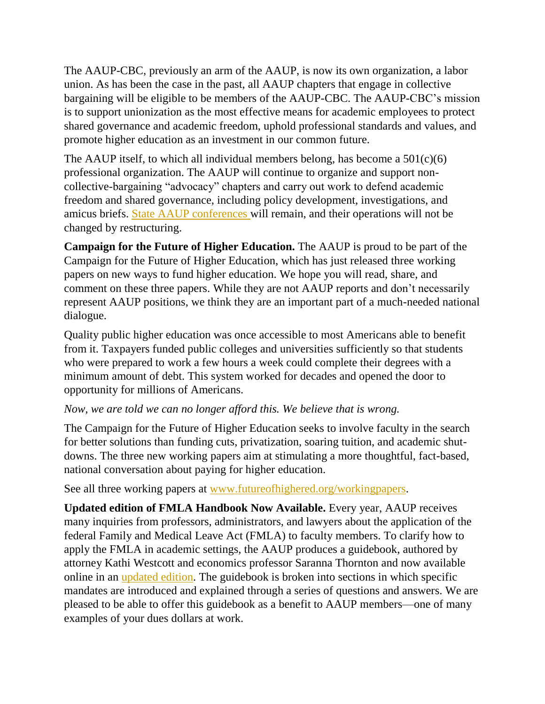The AAUP-CBC, previously an arm of the AAUP, is now its own organization, a labor union. As has been the case in the past, all AAUP chapters that engage in collective bargaining will be eligible to be members of the AAUP-CBC. The AAUP-CBC's mission is to support unionization as the most effective means for academic employees to protect shared governance and academic freedom, uphold professional standards and values, and promote higher education as an investment in our common future.

The AAUP itself, to which all individual members belong, has become a  $501(c)(6)$ professional organization. The AAUP will continue to organize and support noncollective-bargaining "advocacy" chapters and carry out work to defend academic freedom and shared governance, including policy development, investigations, and amicus briefs. [State AAUP conferences w](https://online.aaup.org/aaupssa/ecmssamsganalytics.click_through?p_mail_id=E15606A6949180B1C4399)ill remain, and their operations will not be changed by restructuring.

**Campaign for the Future of Higher Education.** The AAUP is proud to be part of the Campaign for the Future of Higher Education, which has just released three working papers on new ways to fund higher education. We hope you will read, share, and comment on these three papers. While they are not AAUP reports and don't necessarily represent AAUP positions, we think they are an important part of a much-needed national dialogue.

Quality public higher education was once accessible to most Americans able to benefit from it. Taxpayers funded public colleges and universities sufficiently so that students who were prepared to work a few hours a week could complete their degrees with a minimum amount of debt. This system worked for decades and opened the door to opportunity for millions of Americans.

#### *Now, we are told we can no longer afford this. We believe that is wrong.*

The Campaign for the Future of Higher Education seeks to involve faculty in the search for better solutions than funding cuts, privatization, soaring tuition, and academic shutdowns. The three new working papers aim at stimulating a more thoughtful, fact-based, national conversation about paying for higher education.

See all three working papers at [www.futureofhighered.org/workingpapers.](https://online.aaup.org/aaupssa/ecmssamsganalytics.click_through?p_mail_id=E15663A7205920B1C4553)

**Updated edition of FMLA Handbook Now Available.** Every year, AAUP receives many inquiries from professors, administrators, and lawyers about the application of the federal Family and Medical Leave Act (FMLA) to faculty members. To clarify how to apply the FMLA in academic settings, the AAUP produces a guidebook, authored by attorney Kathi Westcott and economics professor Saranna Thornton and now available online in an [updated edition.](http://www.aaup.org/reports-publications/publications/see-all/guidebooks-newsletters) The guidebook is broken into sections in which specific mandates are introduced and explained through a series of questions and answers. We are pleased to be able to offer this guidebook as a benefit to AAUP members—one of many examples of your dues dollars at work.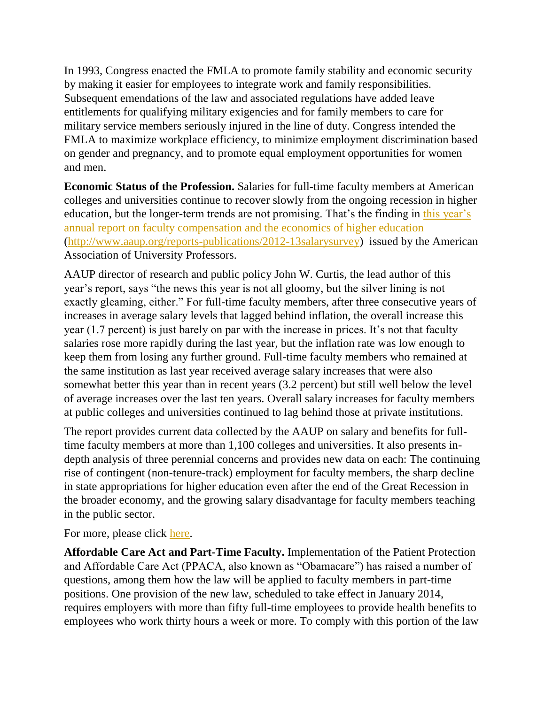In 1993, Congress enacted the FMLA to promote family stability and economic security by making it easier for employees to integrate work and family responsibilities. Subsequent emendations of the law and associated regulations have added leave entitlements for qualifying military exigencies and for family members to care for military service members seriously injured in the line of duty. Congress intended the FMLA to maximize workplace efficiency, to minimize employment discrimination based on gender and pregnancy, and to promote equal employment opportunities for women and men.

**Economic Status of the Profession.** Salaries for full-time faculty members at American colleges and universities continue to recover slowly from the ongoing recession in higher education, but the longer-term trends are not promising. That's the finding in [this year's](https://online.aaup.org/aaupssa/ecmssamsganalytics.click_through?p_mail_id=E15728A8052088B1C4717)  [annual report on faculty compensation and the economics of higher education](https://online.aaup.org/aaupssa/ecmssamsganalytics.click_through?p_mail_id=E15728A8052088B1C4717) [\(http://www.aaup.org/reports-publications/2012-13salarysurvey\)](http://www.aaup.org/reports-publications/2012-13salarysurvey) issued by the American Association of University Professors.

AAUP director of research and public policy John W. Curtis, the lead author of this year's report, says "the news this year is not all gloomy, but the silver lining is not exactly gleaming, either." For full-time faculty members, after three consecutive years of increases in average salary levels that lagged behind inflation, the overall increase this year (1.7 percent) is just barely on par with the increase in prices. It's not that faculty salaries rose more rapidly during the last year, but the inflation rate was low enough to keep them from losing any further ground. Full-time faculty members who remained at the same institution as last year received average salary increases that were also somewhat better this year than in recent years (3.2 percent) but still well below the level of average increases over the last ten years. Overall salary increases for faculty members at public colleges and universities continued to lag behind those at private institutions.

The report provides current data collected by the AAUP on salary and benefits for fulltime faculty members at more than 1,100 colleges and universities. It also presents indepth analysis of three perennial concerns and provides new data on each: The continuing rise of contingent (non-tenure-track) employment for faculty members, the sharp decline in state appropriations for higher education even after the end of the Great Recession in the broader economy, and the growing salary disadvantage for faculty members teaching in the public sector.

For more, please click [here.](http://www.aaup.org/media-release/%E2%80%9Chere%E2%80%99s-news%E2%80%9D-aaup-releases-faculty-salary-report)

**Affordable Care Act and Part-Time Faculty.** Implementation of the Patient Protection and Affordable Care Act (PPACA, also known as "Obamacare") has raised a number of questions, among them how the law will be applied to faculty members in part-time positions. One provision of the new law, scheduled to take effect in January 2014, requires employers with more than fifty full-time employees to provide health benefits to employees who work thirty hours a week or more. To comply with this portion of the law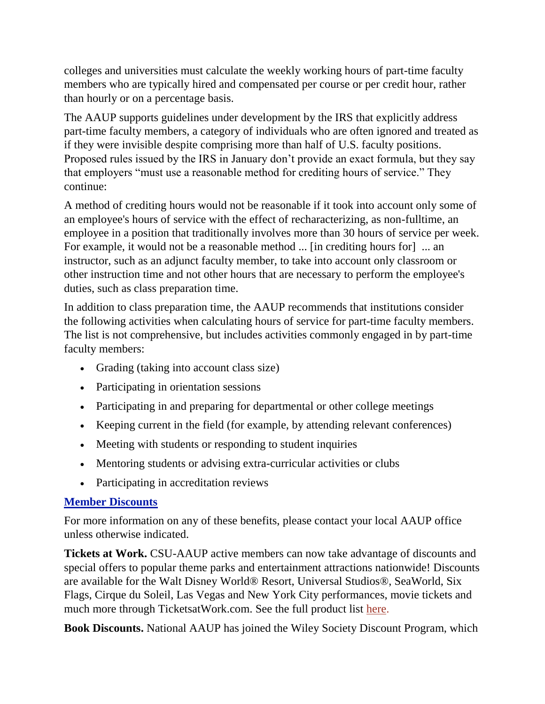colleges and universities must calculate the weekly working hours of part-time faculty members who are typically hired and compensated per course or per credit hour, rather than hourly or on a percentage basis.

The AAUP supports guidelines under development by the IRS that explicitly address part-time faculty members, a category of individuals who are often ignored and treated as if they were invisible despite comprising more than half of U.S. faculty positions. Proposed rules issued by the IRS in January don't provide an exact formula, but they say that employers "must use a reasonable method for crediting hours of service." They continue:

A method of crediting hours would not be reasonable if it took into account only some of an employee's hours of service with the effect of recharacterizing, as non-fulltime, an employee in a position that traditionally involves more than 30 hours of service per week. For example, it would not be a reasonable method ... [in crediting hours for] ... an instructor, such as an adjunct faculty member, to take into account only classroom or other instruction time and not other hours that are necessary to perform the employee's duties, such as class preparation time.

In addition to class preparation time, the AAUP recommends that institutions consider the following activities when calculating hours of service for part-time faculty members. The list is not comprehensive, but includes activities commonly engaged in by part-time faculty members:

- Grading (taking into account class size)
- Participating in orientation sessions
- Participating in and preparing for departmental or other college meetings
- Keeping current in the field (for example, by attending relevant conferences)
- Meeting with students or responding to student inquiries
- Mentoring students or advising extra-curricular activities or clubs
- Participating in accreditation reviews

#### **Member Discounts**

For more information on any of these benefits, please contact your local AAUP office unless otherwise indicated.

**Tickets at Work.** CSU-AAUP active members can now take advantage of discounts and special offers to popular theme parks and entertainment attractions nationwide! Discounts are available for the Walt Disney World® Resort, Universal Studios®, SeaWorld, Six Flags, Cirque du Soleil, Las Vegas and New York City performances, movie tickets and much more through TicketsatWork.com. See the full product list [here.](http://www.csuaaup.org/wp-content/uploads/2010/07/TAWproductlist2012.pdf)

**Book Discounts.** National AAUP has joined the Wiley Society Discount Program, which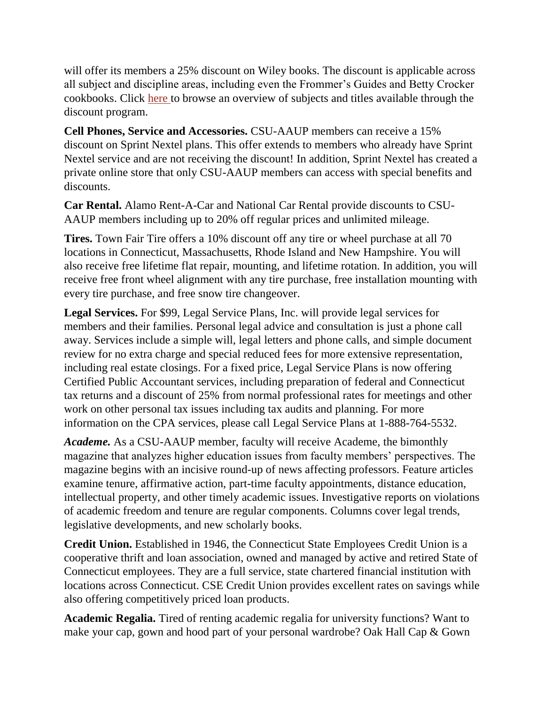will offer its members a 25% discount on Wiley books. The discount is applicable across all subject and discipline areas, including even the Frommer's Guides and Betty Crocker cookbooks. Click [here t](http://lyris.eresources.com:81/t/5286380/5600656/1876/0/)o browse an overview of subjects and titles available through the discount program.

**Cell Phones, Service and Accessories.** CSU-AAUP members can receive a 15% discount on Sprint Nextel plans. This offer extends to members who already have Sprint Nextel service and are not receiving the discount! In addition, Sprint Nextel has created a private online store that only CSU-AAUP members can access with special benefits and discounts.

**Car Rental.** Alamo Rent-A-Car and National Car Rental provide discounts to CSU-AAUP members including up to 20% off regular prices and unlimited mileage.

**Tires.** Town Fair Tire offers a 10% discount off any tire or wheel purchase at all 70 locations in Connecticut, Massachusetts, Rhode Island and New Hampshire. You will also receive free lifetime flat repair, mounting, and lifetime rotation. In addition, you will receive free front wheel alignment with any tire purchase, free installation mounting with every tire purchase, and free snow tire changeover.

**Legal Services.** For \$99, Legal Service Plans, Inc. will provide legal services for members and their families. Personal legal advice and consultation is just a phone call away. Services include a simple will, legal letters and phone calls, and simple document review for no extra charge and special reduced fees for more extensive representation, including real estate closings. For a fixed price, Legal Service Plans is now offering Certified Public Accountant services, including preparation of federal and Connecticut tax returns and a discount of 25% from normal professional rates for meetings and other work on other personal tax issues including tax audits and planning. For more information on the CPA services, please call Legal Service Plans at 1-888-764-5532.

*Academe.* As a CSU-AAUP member, faculty will receive Academe, the bimonthly magazine that analyzes higher education issues from faculty members' perspectives. The magazine begins with an incisive round-up of news affecting professors. Feature articles examine tenure, affirmative action, part-time faculty appointments, distance education, intellectual property, and other timely academic issues. Investigative reports on violations of academic freedom and tenure are regular components. Columns cover legal trends, legislative developments, and new scholarly books.

**Credit Union.** Established in 1946, the Connecticut State Employees Credit Union is a cooperative thrift and loan association, owned and managed by active and retired State of Connecticut employees. They are a full service, state chartered financial institution with locations across Connecticut. CSE Credit Union provides excellent rates on savings while also offering competitively priced loan products.

**Academic Regalia.** Tired of renting academic regalia for university functions? Want to make your cap, gown and hood part of your personal wardrobe? Oak Hall Cap & Gown